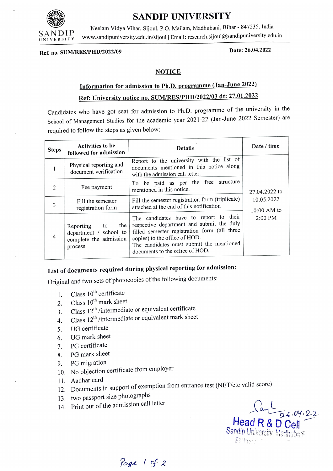

## SANDIP UNIVERSITY

Neelam Vidya Vihar, Sijoul, P.O. Mailam, Madhubani, Bihar - 847235, India www.sandipuniversity.edu.in/sijoul | Email: research.sijoul@sandipuniversity.edu.in

Date: 26.04.2022 Ref. no. SUM/RES/PHD/2022/09

### **NOTICE**

## nformation for admission to Ph.D. programme (Jan-June 2022) Ref: University notice no. SUM/RES/PHD/2022/03 dt: 27.01.2022

Candidates who have got seat for admission to Ph.D. programme of the university in the School of Management Studies for the academic year 2021-22 (Jan-June 2022 Semester) are required to follow the steps as given below:

| <b>Steps</b>   | <b>Activities to be</b><br>followed for admission                                  | <b>Details</b>                                                                                                                                                                                                                                      | Date / time                                             |
|----------------|------------------------------------------------------------------------------------|-----------------------------------------------------------------------------------------------------------------------------------------------------------------------------------------------------------------------------------------------------|---------------------------------------------------------|
|                | Physical reporting and<br>document verification                                    | Report to the university with the list of<br>documents mentioned in this notice along<br>with the admission call letter.                                                                                                                            | 27.04.2022 to<br>10.05.2022<br>$10:00$ AM to<br>2:00 PM |
| 2              | Fee payment                                                                        | To be paid as per the free structure<br>mentioned in this notice.                                                                                                                                                                                   |                                                         |
| 3              | Fill the semester<br>registration form                                             | Fill the semester registration form (triplicate)<br>attached at the end of this notification                                                                                                                                                        |                                                         |
| $\overline{4}$ | the<br>Reporting to<br>department / school to<br>complete the admission<br>process | The candidates have to report to their<br>respective department and submit the duly<br>filled semester registration form (all three<br>copies) to the office of HOD.<br>The candidates must submit the mentioned<br>documents to the office of HOD. |                                                         |

# List of documents required during physical reporting for admission:

Original and two sets of photocopies of the following documents:

- 1. Class  $10^{th}$  certificate
- 2. Class  $10^{th}$  mark sheet
- $Class 12<sup>th</sup> /intermediate or equivalent certificate$ 3.
- Class 12th /intermediate or equivalent mark sheet 4.
- 5. UG certificate
- 6. UG mark sheet
- 7. PG certificate
- 8. PG mark sheet
- 9. PG migration
- 10. No objection certificate from employer
- 11. Aadhar card
- 12. Documents in support of exemption from entrance test (NET/etc valid score)
- 13. two passport size photographs
- 14. Print out of the admission call letter

 $Haad R & D$  Cell Sandip University, Madhuban

Page  $1 + 2$